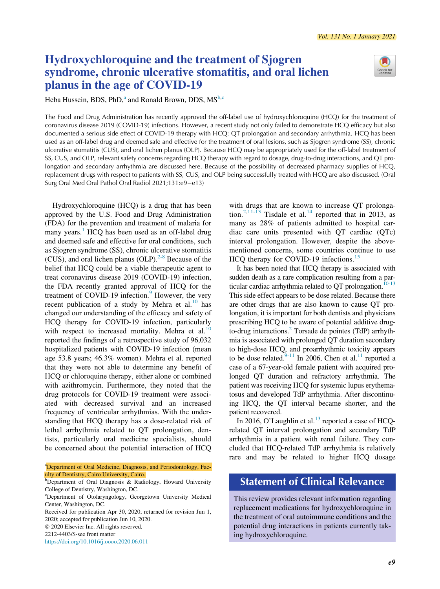

# Hydroxychloroquine and the treatment of Sjogren syndrome, chronic ulcerative stomatitis, and oral lichen planus in the age of COVID-19

<span id="page-0-0"></span>Heb[a](#page-0-0) Hussein, BDS, PhD,<sup>a</sup> and Ronald Brown, DDS,  $MS<sup>b,c</sup>$  $MS<sup>b,c</sup>$  $MS<sup>b,c</sup>$  $MS<sup>b,c</sup>$  $MS<sup>b,c</sup>$ 

The Food and Drug Administration has recently approved the off-label use of hydroxychloroquine (HCQ) for the treatment of coronavirus disease 2019 (COVID-19) infections. However, a recent study not only failed to demonstrate HCQ efficacy but also documented a serious side effect of COVID-19 therapy with HCQ: QT prolongation and secondary arrhythmia. HCQ has been used as an off-label drug and deemed safe and effective for the treatment of oral lesions, such as Sjogren syndrome (SS), chronic ulcerative stomatitis (CUS), and oral lichen planus (OLP). Because HCQ may be appropriately used for the off-label treatment of SS, CUS, and OLP, relevant safety concerns regarding HCQ therapy with regard to dosage, drug-to-drug interactions, and QT prolongation and secondary arrhythmia are discussed here. Because of the possibility of decreased pharmacy supplies of HCQ, replacement drugs with respect to patients with SS, CUS, and OLP being successfully treated with HCQ are also discussed. (Oral Surg Oral Med Oral Pathol Oral Radiol 2021;131:e9-e13)

Hydroxychloroquine (HCQ) is a drug that has been approved by the U.S. Food and Drug Administration (FDA) for the prevention and treatment of malaria for many years.<sup>[1](#page-3-0)</sup> HCQ has been used as an off-label drug and deemed safe and effective for oral conditions, such as Sjogren syndrome (SS), chronic ulcerative stomatitis (CUS), and oral lichen planus (OLP). $2-8$  Because of the belief that HCQ could be a viable therapeutic agent to treat coronavirus disease 2019 (COVID-19) infection, the FDA recently granted approval of HCQ for the treatment of COVID-1[9](#page-3-2) infection.<sup>9</sup> However, the very recent publication of a study by Mehra et al. $^{10}$  $^{10}$  $^{10}$  has changed our understanding of the efficacy and safety of HCQ therapy for COVID-19 infection, particularly with respect to increased mortality. Mehra et al.<sup>[10](#page-3-3)</sup> reported the findings of a retrospective study of 96,032 hospitalized patients with COVID-19 infection (mean age 53.8 years; 46.3% women). Mehra et al. reported that they were not able to determine any benefit of HCQ or chloroquine therapy, either alone or combined with azithromycin. Furthermore, they noted that the drug protocols for COVID-19 treatment were associated with decreased survival and an increased frequency of ventricular arrhythmias. With the understanding that HCQ therapy has a dose-related risk of lethal arrhythmia related to QT prolongation, dentists, particularly oral medicine specialists, should be concerned about the potential interaction of HCQ

<sup>a</sup>Department of Oral Medicine, Diagnosis, and Periodontology, Faculty of Dentistry, Cairo University, Cairo.

Received for publication Apr 30, 2020; returned for revision Jun 1, 2020; accepted for publication Jun 10, 2020.

2020 Elsevier Inc. All rights reserved.

2212-4403/\$-see front matter

<https://doi.org/10.1016/j.oooo.2020.06.011>

with drugs that are known to increase QT prolonga-tion.<sup>[2](#page-3-1)[,11-13](#page-3-4)</sup> Tisdale et al.<sup>[14](#page-3-5)</sup> reported that in 2013, as many as 28% of patients admitted to hospital cardiac care units presented with QT cardiac (QTc) interval prolongation. However, despite the abovementioned concerns, some countries continue to use HCQ therapy for COVID-19 infections.<sup>[15](#page-3-6)</sup>

It has been noted that HCQ therapy is associated with sudden death as a rare complication resulting from a par-ticular cardiac arrhythmia related to QT prolongation.<sup>[10-13](#page-3-3)</sup> This side effect appears to be dose related. Because there are other drugs that are also known to cause QT prolongation, it is important for both dentists and physicians prescribing HCQ to be aware of potential additive drugto-drug interactions.<sup>2</sup> Torsade de pointes (TdP) arrhythmia is associated with prolonged QT duration secondary to high-dose HCQ, and proarrhythmic toxicity appears to be dose related.<sup>9-11</sup> In 2006, Chen et al.<sup>11</sup> reported a case of a 67-year-old female patient with acquired prolonged QT duration and refractory arrhythmia. The patient was receiving HCQ for systemic lupus erythematosus and developed TdP arrhythmia. After discontinuing HCQ, the QT interval became shorter, and the patient recovered.

In 2016, O'Laughlin et al.<sup>[13](#page-3-7)</sup> reported a case of HCQrelated QT interval prolongation and secondary TdP arrhythmia in a patient with renal failure. They concluded that HCQ-related TdP arrhythmia is relatively rare and may be related to higher HCQ dosage

## Statement of Clinical Relevance

This review provides relevant information regarding replacement medications for hydroxychloroquine in the treatment of oral autoimmune conditions and the potential drug interactions in patients currently taking hydroxychloroquine.

**b**Department of Oral Diagnosis & Radiology, Howard University College of Dentistry, Washington, DC.

c Department of Otolaryngology, Georgetown University Medical Center, Washington, DC.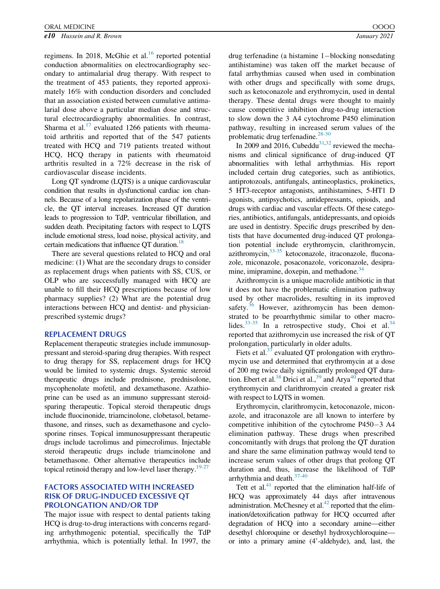e10 Hussein and R. Brown **Figure 2021** *Brown* January 2021

regimens. In 2018, McGhie et al. $16$  reported potential conduction abnormalities on electrocardiography secondary to antimalarial drug therapy. With respect to the treatment of 453 patients, they reported approximately 16% with conduction disorders and concluded that an association existed between cumulative antimalarial dose above a particular median dose and structural electrocardiography abnormalities. In contrast, Sharma et al. $^{17}$  $^{17}$  $^{17}$  evaluated 1266 patients with rheumatoid arthritis and reported that of the 547 patients treated with HCQ and 719 patients treated without HCQ, HCQ therapy in patients with rheumatoid arthritis resulted in a 72% decrease in the risk of cardiovascular disease incidents.

Long QT syndrome (LQTS) is a unique cardiovascular condition that results in dysfunctional cardiac ion channels. Because of a long repolarization phase of the ventricle, the QT interval increases. Increased QT duration leads to progression to TdP, ventricular fibrillation, and sudden death. Precipitating factors with respect to LQTS include emotional stress, load noise, physical activity, and certain medications that influence  $QT$  duration.<sup>18</sup>

There are several questions related to HCQ and oral medicine: (1) What are the secondary drugs to consider as replacement drugs when patients with SS, CUS, or OLP who are successfully managed with HCQ are unable to fill their HCQ prescriptions because of low pharmacy supplies? (2) What are the potential drug interactions between HCQ and dentist- and physicianprescribed systemic drugs?

#### REPLACEMENT DRUGS

Replacement therapeutic strategies include immunosuppressant and steroid-sparing drug therapies. With respect to drug therapy for SS, replacement drugs for HCQ would be limited to systemic drugs. Systemic steroid therapeutic drugs include prednisone, prednisolone, mycophenolate mofetil, and dexamethasone. Azathioprine can be used as an immuno suppressant steroidsparing therapeutic. Topical steroid therapeutic drugs include fluocinonide, triamcinolone, clobetasol, betamethasone, and rinses, such as dexamethasone and cyclosporine rinses. Topical immunosuppressant therapeutic drugs include tacrolimus and pimecrolimus. Injectable steroid therapeutic drugs include triamcinolone and betamethasone. Other alternative therapeutics include topical retinoid therapy and low-level laser therapy.<sup>[19-27](#page-4-1)</sup>

## FACTORS ASSOCIATED WITH INCREASED RISK OF DRUG-INDUCED EXCESSIVE QT PROLONGATION AND/OR TDP

The major issue with respect to dental patients taking HCQ is drug-to-drug interactions with concerns regarding arrhythmogenic potential, specifically the TdP arrhythmia, which is potentially lethal. In 1997, the

drug terfenadine (a histamine  $1$ -blocking nonsedating antihistamine) was taken off the market because of fatal arrhythmias caused when used in combination with other drugs and specifically with some drugs, such as ketoconazole and erythromycin, used in dental therapy. These dental drugs were thought to mainly cause competitive inhibition drug-to-drug interaction to slow down the 3 A4 cytochrome P450 elimination pathway, resulting in increased serum values of the problematic drug terfenadine.<sup>[28-30](#page-4-2)</sup>

In 2009 and 2016, Cubeddu<sup>31[,32](#page-4-4)</sup> reviewed the mechanisms and clinical significance of drug-induced QT abnormalities with lethal arrhythmias. His report included certain drug categories, such as antibiotics, antiprotozoals, antifungals, antineoplastics, prokinetics, 5 HT3-receptor antagonists, antihistamines, 5-HT1 D agonists, antipsychotics, antidepressants, opioids, and drugs with cardiac and vascular effects. Of these categories, antibiotics, antifungals, antidepressants, and opioids are used in dentistry. Specific drugs prescribed by dentists that have documented drug-induced QT prolongation potential include erythromycin, clarithromycin, azithromycin, $33-35$  ketoconazole, itraconazole, fluconazole, miconazole, posaconazole, voriconazole, desipra-mine, imipramine, doxepin, and methadone.<sup>[34](#page-4-6)</sup>

Azithromycin is a unique macrolide antibiotic in that it does not have the problematic elimination pathway used by other macrolides, resulting in its improved safety. $36$  However, azithromycin has been demonstrated to be proarrhythmic similar to other macrolides. $33-35$  In a retrospective study, Choi et al. $34$ reported that azithromycin use increased the risk of QT prolongation, particularly in older adults.

Fiets et al. $37$  evaluated QT prolongation with erythromycin use and determined that erythromycin at a dose of 200 mg twice daily significantly prolonged QT dura-tion. Ebert et al.<sup>[38](#page-4-9)</sup> Drici et al.,<sup>39</sup> and Arya<sup>[40](#page-4-11)</sup> reported that erythromycin and clarithromycin created a greater risk with respect to LQTS in women.

Erythromycin, clarithromycin, ketoconazole, miconazole, and itraconazole are all known to interfere by competitive inhibition of the cytochrome  $P450-3$  A4 elimination pathway. These drugs when prescribed concomitantly with drugs that prolong the QT duration and share the same elimination pathway would tend to increase serum values of other drugs that prolong QT duration and, thus, increase the likelihood of TdP arrhythmia and death.<sup>[37-40](#page-4-8)</sup>

Tett et al. $41$  reported that the elimination half-life of HCQ was approximately 44 days after intravenous administration. McChesney et al. $42$  reported that the elimination/detoxification pathway for HCQ occurred after degradation of HCQ into a secondary amine—either desethyl chloroquine or desethyl hydroxychloroquine or into a primary amine (4'-aldehyde), and, last, the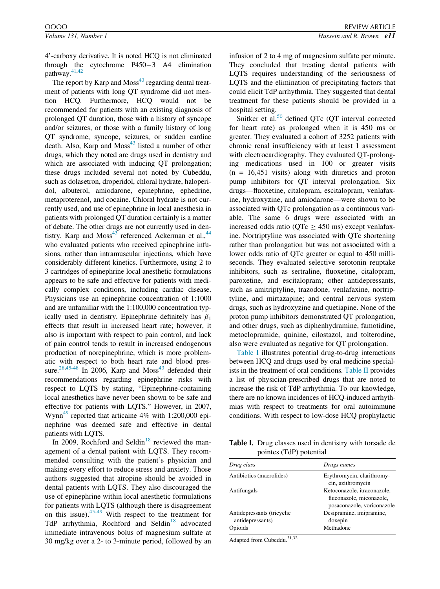4'-carboxy derivative. It is noted HCQ is not eliminated through the cytochrome  $P450-3$  A4 elimination pathway.<sup>[41](#page-4-12)[,42](#page-4-13)</sup>

The report by Karp and  $\text{Moss}^{43}$  $\text{Moss}^{43}$  $\text{Moss}^{43}$  regarding dental treatment of patients with long QT syndrome did not mention HCQ. Furthermore, HCQ would not be recommended for patients with an existing diagnosis of prolonged QT duration, those with a history of syncope and/or seizures, or those with a family history of long QT syndrome, syncope, seizures, or sudden cardiac death. Also, Karp and  $Moss^{43}$  $Moss^{43}$  $Moss^{43}$  listed a number of other drugs, which they noted are drugs used in dentistry and which are associated with inducing QT prolongation; these drugs included several not noted by Cubeddu, such as dolasetron, droperidol, chloral hydrate, haloperidol, albuterol, amiodarone, epinephrine, ephedrine, metaproterenol, and cocaine. Chloral hydrate is not currently used, and use of epinephrine in local anesthesia in patients with prolonged QT duration certainly is a matter of debate. The other drugs are not currently used in dentistry. Karp and  $Moss^{43}$  referenced Ackerman et al.,  $44$ who evaluated patients who received epinephrine infusions, rather than intramuscular injections, which have considerably different kinetics. Furthermore, using 2 to 3 cartridges of epinephrine local anesthetic formulations appears to be safe and effective for patients with medically complex conditions, including cardiac disease. Physicians use an epinephrine concentration of 1:1000 and are unfamiliar with the 1:100,000 concentration typically used in dentistry. Epinephrine definitely has  $\beta_1$ effects that result in increased heart rate; however, it also is important with respect to pain control, and lack of pain control tends to result in increased endogenous production of norepinephrine, which is more problematic with respect to both heart rate and blood pres-sure.<sup>28[,45-48](#page-4-16)</sup> In 2006, Karp and Moss<sup>43</sup> defended their recommendations regarding epinephrine risks with respect to LQTS by stating, "Epinephrine-containing local anesthetics have never been shown to be safe and effective for patients with LQTS." However, in 2007, Wynn<sup>[49](#page-4-17)</sup> reported that articaine 4% with 1:200,000 epinephrine was deemed safe and effective in dental patients with LQTS.

<span id="page-2-0"></span>In 2009, Rochford and Seldin<sup>[18](#page-4-0)</sup> reviewed the management of a dental patient with LQTS. They recommended consulting with the patient's physician and making every effort to reduce stress and anxiety. Those authors suggested that atropine should be avoided in dental patients with LQTS. They also discouraged the use of epinephrine within local anesthetic formulations for patients with LQTS (although there is disagreement on this issue).[45-49](#page-4-16) With respect to the treatment for TdP arrhythmia, Rochford and Seldin<sup>18</sup> advocated immediate intravenous bolus of magnesium sulfate at 30 mg/kg over a 2- to 3-minute period, followed by an infusion of 2 to 4 mg of magnesium sulfate per minute. They concluded that treating dental patients with LQTS requires understanding of the seriousness of LQTS and the elimination of precipitating factors that could elicit TdP arrhythmia. They suggested that dental treatment for these patients should be provided in a hospital setting.

Snitker et al. $50$  defined QTc (QT interval corrected for heart rate) as prolonged when it is 450 ms or greater. They evaluated a cohort of 3252 patients with chronic renal insufficiency with at least 1 assessment with electrocardiography. They evaluated QT-prolonging medications used in 100 or greater visits  $(n = 16,451$  visits) along with diuretics and proton pump inhibitors for QT interval prolongation. Six drugs—fluoxetine, citalopram, escitalopram, venlafaxine, hydroxyzine, and amiodarone—were shown to be associated with QTc prolongation as a continuous variable. The same 6 drugs were associated with an increased odds ratio ( $QTc \geq 450$  ms) except venlafaxine. Nortriptyline was associated with QTc shortening rather than prolongation but was not associated with a lower odds ratio of QTc greater or equal to 450 milliseconds. They evaluated selective serotonin reuptake inhibitors, such as sertraline, fluoxetine, citalopram, paroxetine, and escitalopram; other antidepressants, such as amitriptyline, trazodone, venlafaxine, nortriptyline, and mirtazapine; and central nervous system drugs, such as hydroxyzine and quetiapine. None of the proton pump inhibitors demonstrated QT prolongation, and other drugs, such as diphenhydramine, famotidine, metoclopramide, quinine, cilostazol, and tolterodine, also were evaluated as negative for QT prolongation.

[Table I](#page-2-0) illustrates potential drug-to-drug interactions between HCQ and drugs used by oral medicine specialists in the treatment of oral conditions. [Table II](#page-3-10) provides a list of physician-prescribed drugs that are noted to increase the risk of TdP arrhythmia. To our knowledge, there are no known incidences of HCQ-induced arrhythmias with respect to treatments for oral autoimmune conditions. With respect to low-dose HCQ prophylactic

Table I. Drug classes used in dentistry with torsade de pointes (TdP) potential

| r = ====== ( = == ) r = ==                     |                                                                                       |  |
|------------------------------------------------|---------------------------------------------------------------------------------------|--|
| Drug class                                     | Drugs names                                                                           |  |
| Antibiotics (macrolides)                       | Erythromycin, clarithromy-<br>cin, azithromycin                                       |  |
| Antifungals                                    | Ketoconazole, itraconazole,<br>fluconazole, miconazole,<br>posaconazole, voriconazole |  |
| Antidepressants (tricyclic<br>antidepressants) | Desipramine, imipramine,<br>doxepin                                                   |  |
| Opioids                                        | Methadone                                                                             |  |

Adapted from Cubeddu.<sup>31,32</sup>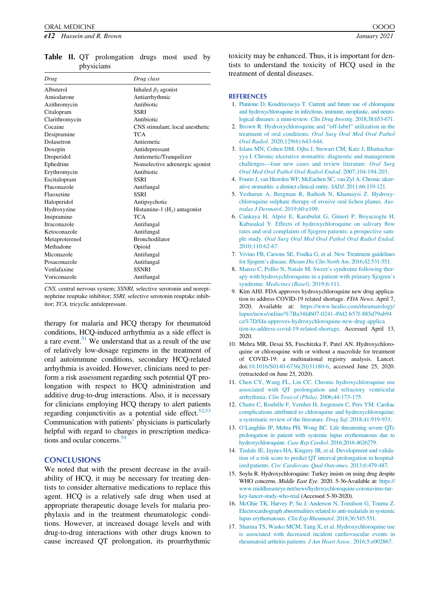<span id="page-3-10"></span>

|            |  |  | <b>Table II.</b> QT prolongation drugs most used by |  |  |
|------------|--|--|-----------------------------------------------------|--|--|
| physicians |  |  |                                                     |  |  |

<span id="page-3-1"></span><span id="page-3-0"></span>

| Drug           | Drug class                      |
|----------------|---------------------------------|
| Albuterol      | Inhaled $\beta_2$ agonist       |
| Amiodarone     | Antiarrhythmic                  |
| Azithromycin   | Antibiotic                      |
| Citalopram     | SSRI                            |
| Clarithromycin | Antibiotic                      |
| Cocaine        | CNS stimulant; local anesthetic |
| Desipramine    | <b>TCA</b>                      |
| Dolasetron     | Antiemetic                      |
| Doxepin        | Antidepressant                  |
| Droperidol     | Antiemetic/Tranquilizer         |
| Ephedrine      | Nonselective adrenergic agonist |
| Erythromycin   | Antibiotic                      |
| Escitalopram   | SSRI                            |
| Fluconazole    | Antifungal                      |
| Fluoxetine     | <b>SSRI</b>                     |
| Haloperidol    | Antipsychotic                   |
| Hydroxyzine    | Histamine-1 $(H_1)$ antagonist  |
| Imipramine     | <b>TCA</b>                      |
| Itraconazole   | Antifungal                      |
| Ketoconazole   | Antifungal                      |
| Metaproterenol | <b>Bronchodilator</b>           |
| Methadone      | Opioid                          |
| Miconazole     | Antifungal                      |
| Posaconazole   | Antifungal                      |
| Venlafaxine    | <b>SSNRI</b>                    |
| Voriconazole   | Antifungal                      |

<span id="page-3-2"></span>CNS, central nervous system; SSNRI, selective serotonin and norepinephrine reuptake inhibitor; SSRI, selective serotonin reuptake inhibitor; TCA, tricyclic antidepressant.

<span id="page-3-4"></span><span id="page-3-3"></span>therapy for malaria and HCQ therapy for rheumatoid conditions, HCQ-induced arrhythmia as a side effect is a rare event[.51](#page-4-19) We understand that as a result of the use of relatively low-dosage regimens in the treatment of oral autoimmune conditions, secondary HCQ-related arrhythmia is avoided. However, clinicians need to perform a risk assessment regarding such potential QT prolongation with respect to HCQ administration and additive drug-to-drug interactions. Also, it is necessary for clinicians employing HCQ therapy to alert patients regarding conjunctivitis as a potential side effect. $52,53$  $52,53$  $52,53$ Communication with patients' physicians is particularly helpful with regard to changes in prescription medica-tions and ocular concerns.<sup>[54](#page-4-22)</sup>

### <span id="page-3-7"></span><span id="page-3-5"></span>**CONCLUSIONS**

<span id="page-3-9"></span><span id="page-3-8"></span><span id="page-3-6"></span>We noted that with the present decrease in the availability of HCQ, it may be necessary for treating dentists to consider alternative medications to replace this agent. HCQ is a relatively safe drug when used at appropriate therapeutic dosage levels for malaria prophylaxis and in the treatment rheumatologic conditions. However, at increased dosage levels and with drug-to-drug interactions with other drugs known to cause increased QT prolongation, its proarrhythmic toxicity may be enhanced. Thus, it is important for dentists to understand the toxicity of HCQ used in the treatment of dental diseases.

#### **REFERENCES**

- 1. [Plantone D, Koudriaviseya T. Current and future use of chloroquine](http://refhub.elsevier.com/S2212-4403(20)31070-1/sbref0001) [and hydroxychloroquine in infectious, immune, neoplastic, and neuro](http://refhub.elsevier.com/S2212-4403(20)31070-1/sbref0001)[logical diseases: a mini-review.](http://refhub.elsevier.com/S2212-4403(20)31070-1/sbref0001) Clin Drug Investig. 2018;38:653-671.
- 2. [Brown R. Hydroxychloroquine and "off-label" utilization in the](http://refhub.elsevier.com/S2212-4403(20)31070-1/sbref0002) treatment of oral conditions. [Oral Surg Oral Med Oral Pathol](http://refhub.elsevier.com/S2212-4403(20)31070-1/sbref0002) Oral Radiol[. 2020;129\(6\):643-644.](http://refhub.elsevier.com/S2212-4403(20)31070-1/sbref0002)
- 3. [Islam MN, Cohen DM, Ojha J, Stewart CM, Katz J, Bhattachar](http://refhub.elsevier.com/S2212-4403(20)31070-1/sbref0003)[yya I. Chronic ulcerative stomatitis: diagnostic and management](http://refhub.elsevier.com/S2212-4403(20)31070-1/sbref0003) [challenges—four new cases and review literature.](http://refhub.elsevier.com/S2212-4403(20)31070-1/sbref0003) Oral Surg [Oral Med Oral Pathol Oral Radiol Endod](http://refhub.elsevier.com/S2212-4403(20)31070-1/sbref0003). 2007;104:194-203.
- 4. [Fourie J, van Heerden WF, McEachen SC, van Zyl A. Chronic ulcer](http://refhub.elsevier.com/S2212-4403(20)31070-1/sbref0004)[ative stomatitis: a distinct clinical entity.](http://refhub.elsevier.com/S2212-4403(20)31070-1/sbref0004) SADJ. 2011;66:119-121.
- 5. [Yeshurun A, Bergman R, Bathish N, Khamaysi Z. Hydroxy](http://refhub.elsevier.com/S2212-4403(20)31070-1/sbref0005)[chloroquine sulphate therapy of erosive oral lichen planus.](http://refhub.elsevier.com/S2212-4403(20)31070-1/sbref0005) Aus[tralas J Dermatol](http://refhub.elsevier.com/S2212-4403(20)31070-1/sbref0005). 2019;60:e109.
- 6. [Cankaya H, Alp](http://refhub.elsevier.com/S2212-4403(20)31070-1/sbref0006)ö[z E, Karabulut G, G](http://refhub.elsevier.com/S2212-4403(20)31070-1/sbref0006)üneri P, Boyacioglu H, [Kabasakal Y. Effects of hydroxychloroquine on salivary flow](http://refhub.elsevier.com/S2212-4403(20)31070-1/sbref0006) [rates and oral complaints of Sjogren patients: a prospective sam](http://refhub.elsevier.com/S2212-4403(20)31070-1/sbref0006)ple study. [Oral Surg Oral Med Oral Pathol Oral Radiol Endod](http://refhub.elsevier.com/S2212-4403(20)31070-1/sbref0006). [2010;110:62-67.](http://refhub.elsevier.com/S2212-4403(20)31070-1/sbref0006)
- 7. [Vivino FB, Carsons SE, Foulka G, et al. New Treatment guidelines](http://refhub.elsevier.com/S2212-4403(20)31070-1/sbref0007) [for Sjogren'](http://refhub.elsevier.com/S2212-4403(20)31070-1/sbref0007)s disease. [Rheum Dis Clin North Am](http://refhub.elsevier.com/S2212-4403(20)31070-1/sbref0007). 2016;42:531-551.
- 8. [Manzo C, Pollio N, Natale M. Sweet's syndrome following ther](http://refhub.elsevier.com/S2212-4403(20)31070-1/sbref0008)[apy with hydroxychloroquine in a patient with primary Sjogren's](http://refhub.elsevier.com/S2212-4403(20)31070-1/sbref0008) syndrome. [Medicines \(Basel\)](http://refhub.elsevier.com/S2212-4403(20)31070-1/sbref0008). 2019;6:111.
- 9. Kim AHJ. FDA approves hydroxychloroquine new drug application to address COVID-19 related shortage. FDA News. April 7, 2020. Available at: [https://www.healio.com/rheumatology/](https://www.healio.com/rheumatology/lupus/news/online/%7Ba34fd607-0241-49d2-b57f-885d79ab94ca%7D/fda-approves-hydroxychloroquine-new-drug-application-to-address-covid-19-related-shortage) [lupus/news/online/%7Ba34fd607-0241-49d2-b57f-885d79ab94](https://www.healio.com/rheumatology/lupus/news/online/%7Ba34fd607-0241-49d2-b57f-885d79ab94ca%7D/fda-approves-hydroxychloroquine-new-drug-application-to-address-covid-19-related-shortage) [ca%7D/fda-approves-hydroxychloroquine-new-drug-applica](https://www.healio.com/rheumatology/lupus/news/online/%7Ba34fd607-0241-49d2-b57f-885d79ab94ca%7D/fda-approves-hydroxychloroquine-new-drug-application-to-address-covid-19-related-shortage) [tion-to-address-covid-19-related-shortage](https://www.healio.com/rheumatology/lupus/news/online/%7Ba34fd607-0241-49d2-b57f-885d79ab94ca%7D/fda-approves-hydroxychloroquine-new-drug-application-to-address-covid-19-related-shortage). Accessed April 13, 2020.
- 10. Mehra MR, Desai SS, Fuschitzka F, Patel AN. Hydroxychloroquine or chloroquine with or without a macrolide for treatment of COVID-19: a multinational registry analysis. Lancet. doi:[10.1016/S0140-6736\(20\)31180-6](https://doi.org/10.1016/S0140-6736(20)31180-6), accessed June 25, 2020. (retracteded on June 25, 2020).
- 11. [Chen CY, Wang FL, Lin CC. Chronic hydroxychloroquine use](http://refhub.elsevier.com/S2212-4403(20)31070-1/sbref0010) [associated with QT prolongation and refractory ventricular](http://refhub.elsevier.com/S2212-4403(20)31070-1/sbref0010) arrhythmia. [Clin Toxicol \(Phila\)](http://refhub.elsevier.com/S2212-4403(20)31070-1/sbref0010). 2006;44:173-175.
- 12. [Chatre C, Roubille F, Vernhet H, Jorgensen C, Pers YM. Cardiac](http://refhub.elsevier.com/S2212-4403(20)31070-1/sbref0011) [complications attributed to chloroquine and hydroxychloroquine:](http://refhub.elsevier.com/S2212-4403(20)31070-1/sbref0011) [a systematic review of the literature.](http://refhub.elsevier.com/S2212-4403(20)31070-1/sbref0011) Drug Saf. 2018;41:919-931.
- 13. [O'Laughlin JP, Mehta PH, Wong BC. Life threatening severe QTc](http://refhub.elsevier.com/S2212-4403(20)31070-1/sbref0012) [prolongation in patient with systemic lupus erythematosus due to](http://refhub.elsevier.com/S2212-4403(20)31070-1/sbref0012) hydroxychloroquine. Case Rep Cardiol[. 2016;2016:4626279.](http://refhub.elsevier.com/S2212-4403(20)31070-1/sbref0012)
- 14. [Tisdale JE, Jaynes HA, Kingery JR, et al. Development and valida](http://refhub.elsevier.com/S2212-4403(20)31070-1/sbref0013)[tion of a risk score to predict QT interval prolongation in hospital](http://refhub.elsevier.com/S2212-4403(20)31070-1/sbref0013)ized patients. [Circ Cardiovasc Qual Outcomes](http://refhub.elsevier.com/S2212-4403(20)31070-1/sbref0013). 2013;6:479-487.
- 15. Soylu R. Hydroxychloroquine: Turkey insists on using drug despite WHO concerns. Middle East Eye. 2020. 5-36-Available at: [https://](https://www.middleeasteye.net/news/hydroxychloroquine-coronavirus-turkey-lancet-study-who-trial) [www.middleeasteye.net/news/hydroxychloroquine-coronavirus-tur](https://www.middleeasteye.net/news/hydroxychloroquine-coronavirus-turkey-lancet-study-who-trial)[key-lancet-study-who-trial](https://www.middleeasteye.net/news/hydroxychloroquine-coronavirus-turkey-lancet-study-who-trial) (Accessed 5-30-2020).
- 16. [McGhie TK, Harvey P, Su J, Anderson N, Tomilson G, Touma Z.](http://refhub.elsevier.com/S2212-4403(20)31070-1/sbref0015) [Electrocardiograph abnormalities related to anti-malarials in systemic](http://refhub.elsevier.com/S2212-4403(20)31070-1/sbref0015) [lupus erythematosus.](http://refhub.elsevier.com/S2212-4403(20)31070-1/sbref0015) Clin Exp Rheumatol. 2018;36:545-551.
- 17. [Sharma TS, Wasko MCM, Tang X, et al. Hydroxychloroquine use](http://refhub.elsevier.com/S2212-4403(20)31070-1/sbref0016) [is associated with decreased incident cardiovascular events in](http://refhub.elsevier.com/S2212-4403(20)31070-1/sbref0016) [rheumatoid arthritis patients.](http://refhub.elsevier.com/S2212-4403(20)31070-1/sbref0016) J Am Heart Assoc. 2016;5:e002867.